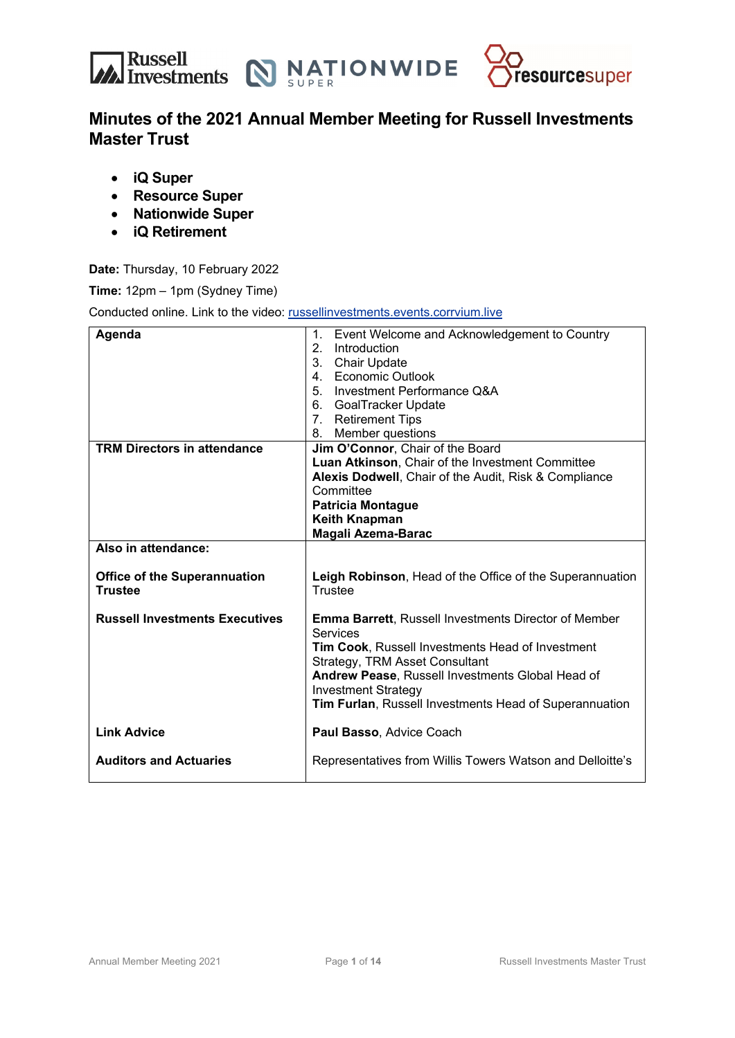



## **Minutes of the 2021 Annual Member Meeting for Russell Investments Master Trust**

- **iQ Super**
- **Resource Super**
- **Nationwide Super**
- **iQ Retirement**

**Date:** Thursday, 10 February 2022

**Time:** 12pm – 1pm (Sydney Time)

Conducted online. Link to the video: russellinvestments.events.corrvium.live

| Agenda                                                | Event Welcome and Acknowledgement to Country<br>1.<br>2.<br>Introduction<br>3. Chair Update<br>4. Economic Outlook<br>5. Investment Performance Q&A<br>6. GoalTracker Update<br>7. Retirement Tips                                                                                                        |
|-------------------------------------------------------|-----------------------------------------------------------------------------------------------------------------------------------------------------------------------------------------------------------------------------------------------------------------------------------------------------------|
| <b>TRM Directors in attendance</b>                    | Member questions<br>8.<br>Jim O'Connor, Chair of the Board<br>Luan Atkinson, Chair of the Investment Committee<br>Alexis Dodwell, Chair of the Audit, Risk & Compliance<br>Committee<br><b>Patricia Montague</b><br><b>Keith Knapman</b><br>Magali Azema-Barac                                            |
| Also in attendance:                                   |                                                                                                                                                                                                                                                                                                           |
| <b>Office of the Superannuation</b><br><b>Trustee</b> | Leigh Robinson, Head of the Office of the Superannuation<br>Trustee                                                                                                                                                                                                                                       |
| <b>Russell Investments Executives</b>                 | <b>Emma Barrett, Russell Investments Director of Member</b><br>Services<br>Tim Cook, Russell Investments Head of Investment<br>Strategy, TRM Asset Consultant<br>Andrew Pease, Russell Investments Global Head of<br><b>Investment Strategy</b><br>Tim Furlan, Russell Investments Head of Superannuation |
| <b>Link Advice</b>                                    | Paul Basso, Advice Coach                                                                                                                                                                                                                                                                                  |
| <b>Auditors and Actuaries</b>                         | Representatives from Willis Towers Watson and Delloitte's                                                                                                                                                                                                                                                 |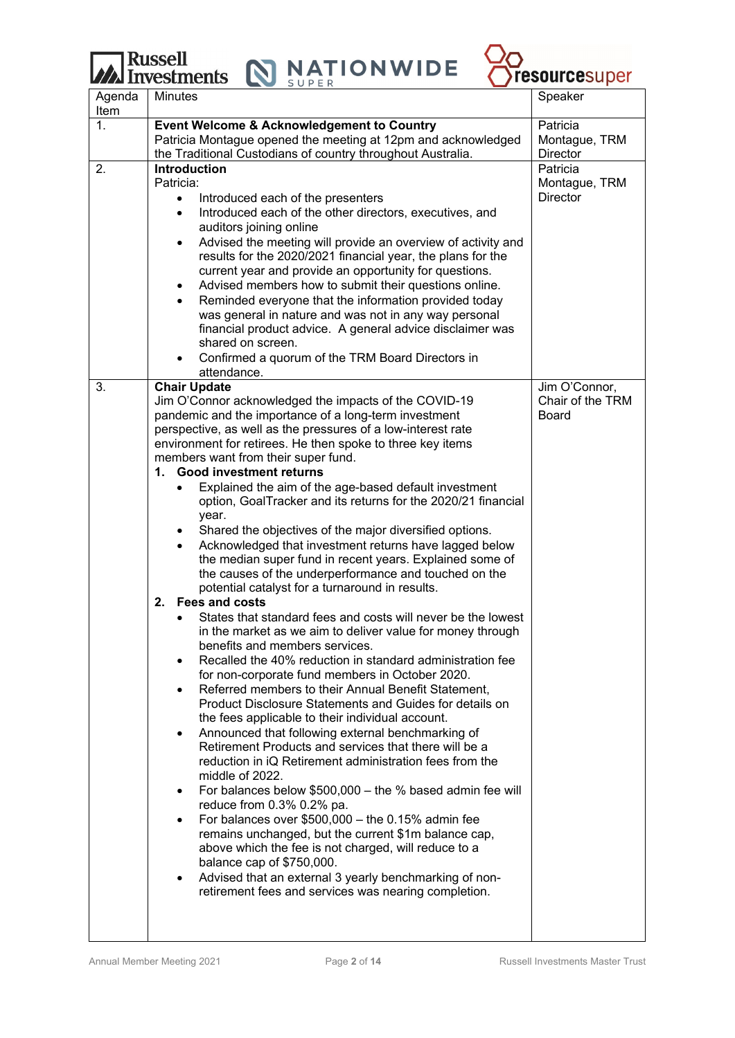Russell<br>Investments NATIONWIDE



| Agenda<br>Item | <b>Minutes</b>                                                                                                        | Speaker                          |
|----------------|-----------------------------------------------------------------------------------------------------------------------|----------------------------------|
| $\mathbf{1}$ . | <b>Event Welcome &amp; Acknowledgement to Country</b>                                                                 | Patricia                         |
|                | Patricia Montague opened the meeting at 12pm and acknowledged                                                         | Montague, TRM                    |
|                | the Traditional Custodians of country throughout Australia.                                                           | Director                         |
| 2.             | <b>Introduction</b>                                                                                                   | Patricia                         |
|                | Patricia:                                                                                                             | Montague, TRM                    |
|                | Introduced each of the presenters<br>$\bullet$                                                                        | <b>Director</b>                  |
|                | Introduced each of the other directors, executives, and                                                               |                                  |
|                | auditors joining online                                                                                               |                                  |
|                | Advised the meeting will provide an overview of activity and<br>$\bullet$                                             |                                  |
|                | results for the 2020/2021 financial year, the plans for the                                                           |                                  |
|                | current year and provide an opportunity for questions.                                                                |                                  |
|                | Advised members how to submit their questions online.                                                                 |                                  |
|                | Reminded everyone that the information provided today                                                                 |                                  |
|                | was general in nature and was not in any way personal                                                                 |                                  |
|                | financial product advice. A general advice disclaimer was                                                             |                                  |
|                | shared on screen.                                                                                                     |                                  |
|                | Confirmed a quorum of the TRM Board Directors in<br>$\bullet$                                                         |                                  |
|                | attendance.                                                                                                           |                                  |
| 3.             | <b>Chair Update</b>                                                                                                   | Jim O'Connor,                    |
|                | Jim O'Connor acknowledged the impacts of the COVID-19                                                                 | Chair of the TRM<br><b>Board</b> |
|                | pandemic and the importance of a long-term investment<br>perspective, as well as the pressures of a low-interest rate |                                  |
|                | environment for retirees. He then spoke to three key items                                                            |                                  |
|                | members want from their super fund.                                                                                   |                                  |
|                | 1. Good investment returns                                                                                            |                                  |
|                | Explained the aim of the age-based default investment                                                                 |                                  |
|                | option, GoalTracker and its returns for the 2020/21 financial                                                         |                                  |
|                | year.                                                                                                                 |                                  |
|                | Shared the objectives of the major diversified options.                                                               |                                  |
|                | Acknowledged that investment returns have lagged below                                                                |                                  |
|                | the median super fund in recent years. Explained some of                                                              |                                  |
|                | the causes of the underperformance and touched on the                                                                 |                                  |
|                | potential catalyst for a turnaround in results.                                                                       |                                  |
|                | 2. Fees and costs                                                                                                     |                                  |
|                | States that standard fees and costs will never be the lowest                                                          |                                  |
|                | in the market as we aim to deliver value for money through<br>benefits and members services.                          |                                  |
|                | Recalled the 40% reduction in standard administration fee                                                             |                                  |
|                | for non-corporate fund members in October 2020.                                                                       |                                  |
|                | Referred members to their Annual Benefit Statement,<br>$\bullet$                                                      |                                  |
|                | Product Disclosure Statements and Guides for details on                                                               |                                  |
|                | the fees applicable to their individual account.                                                                      |                                  |
|                | Announced that following external benchmarking of<br>$\bullet$                                                        |                                  |
|                | Retirement Products and services that there will be a                                                                 |                                  |
|                | reduction in iQ Retirement administration fees from the                                                               |                                  |
|                | middle of 2022.                                                                                                       |                                  |
|                | For balances below \$500,000 - the % based admin fee will                                                             |                                  |
|                | reduce from 0.3% 0.2% pa.                                                                                             |                                  |
|                | For balances over $$500,000 -$ the 0.15% admin fee                                                                    |                                  |
|                | remains unchanged, but the current \$1m balance cap,<br>above which the fee is not charged, will reduce to a          |                                  |
|                | balance cap of \$750,000.                                                                                             |                                  |
|                | Advised that an external 3 yearly benchmarking of non-<br>$\bullet$                                                   |                                  |
|                | retirement fees and services was nearing completion.                                                                  |                                  |
|                |                                                                                                                       |                                  |
|                |                                                                                                                       |                                  |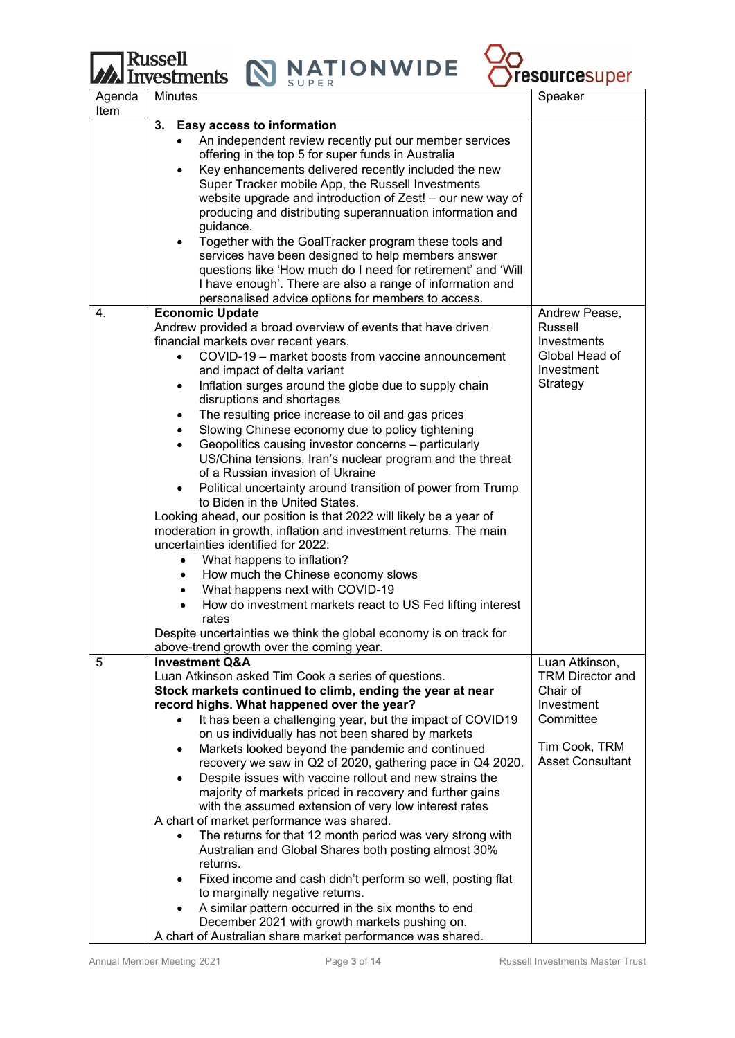# **Russell**<br>**M** Investments

**NATIONWIDE** 

 $\mathbf N$ 



| Agenda<br>Item | <b>Minutes</b>                                                                                                                                                                                                                                                                                                                                                                 | Speaker                                           |
|----------------|--------------------------------------------------------------------------------------------------------------------------------------------------------------------------------------------------------------------------------------------------------------------------------------------------------------------------------------------------------------------------------|---------------------------------------------------|
|                | <b>Easy access to information</b><br>3.                                                                                                                                                                                                                                                                                                                                        |                                                   |
|                | An independent review recently put our member services<br>offering in the top 5 for super funds in Australia<br>Key enhancements delivered recently included the new<br>$\bullet$<br>Super Tracker mobile App, the Russell Investments<br>website upgrade and introduction of Zest! - our new way of<br>producing and distributing superannuation information and<br>guidance. |                                                   |
|                | Together with the GoalTracker program these tools and<br>$\bullet$<br>services have been designed to help members answer<br>questions like 'How much do I need for retirement' and 'Will<br>I have enough'. There are also a range of information and<br>personalised advice options for members to access.                                                                    |                                                   |
| 4.             | <b>Economic Update</b>                                                                                                                                                                                                                                                                                                                                                         | Andrew Pease,                                     |
|                | Andrew provided a broad overview of events that have driven                                                                                                                                                                                                                                                                                                                    | Russell                                           |
|                | financial markets over recent years.<br>COVID-19 - market boosts from vaccine announcement<br>$\bullet$                                                                                                                                                                                                                                                                        | Investments<br>Global Head of                     |
|                | and impact of delta variant                                                                                                                                                                                                                                                                                                                                                    | Investment                                        |
|                | Inflation surges around the globe due to supply chain<br>$\bullet$<br>disruptions and shortages                                                                                                                                                                                                                                                                                | Strategy                                          |
|                | The resulting price increase to oil and gas prices<br>$\bullet$                                                                                                                                                                                                                                                                                                                |                                                   |
|                | Slowing Chinese economy due to policy tightening<br>$\bullet$                                                                                                                                                                                                                                                                                                                  |                                                   |
|                | Geopolitics causing investor concerns - particularly<br>$\bullet$<br>US/China tensions, Iran's nuclear program and the threat                                                                                                                                                                                                                                                  |                                                   |
|                | of a Russian invasion of Ukraine                                                                                                                                                                                                                                                                                                                                               |                                                   |
|                | Political uncertainty around transition of power from Trump<br>to Biden in the United States.                                                                                                                                                                                                                                                                                  |                                                   |
|                | Looking ahead, our position is that 2022 will likely be a year of<br>moderation in growth, inflation and investment returns. The main<br>uncertainties identified for 2022:                                                                                                                                                                                                    |                                                   |
|                | What happens to inflation?<br>$\bullet$                                                                                                                                                                                                                                                                                                                                        |                                                   |
|                | How much the Chinese economy slows<br>٠                                                                                                                                                                                                                                                                                                                                        |                                                   |
|                | What happens next with COVID-19<br>$\bullet$                                                                                                                                                                                                                                                                                                                                   |                                                   |
|                | How do investment markets react to US Fed lifting interest<br>$\bullet$<br>rates                                                                                                                                                                                                                                                                                               |                                                   |
|                | Despite uncertainties we think the global economy is on track for                                                                                                                                                                                                                                                                                                              |                                                   |
| 5              | above-trend growth over the coming year.<br><b>Investment Q&amp;A</b>                                                                                                                                                                                                                                                                                                          | Luan Atkinson,                                    |
|                | Luan Atkinson asked Tim Cook a series of questions.<br>Stock markets continued to climb, ending the year at near<br>record highs. What happened over the year?                                                                                                                                                                                                                 | <b>TRM Director and</b><br>Chair of<br>Investment |
|                | It has been a challenging year, but the impact of COVID19                                                                                                                                                                                                                                                                                                                      | Committee                                         |
|                | on us individually has not been shared by markets<br>Markets looked beyond the pandemic and continued<br>$\bullet$                                                                                                                                                                                                                                                             | Tim Cook, TRM                                     |
|                | recovery we saw in Q2 of 2020, gathering pace in Q4 2020.                                                                                                                                                                                                                                                                                                                      | <b>Asset Consultant</b>                           |
|                | Despite issues with vaccine rollout and new strains the<br>$\bullet$<br>majority of markets priced in recovery and further gains                                                                                                                                                                                                                                               |                                                   |
|                | with the assumed extension of very low interest rates<br>A chart of market performance was shared.                                                                                                                                                                                                                                                                             |                                                   |
|                | The returns for that 12 month period was very strong with<br>$\bullet$<br>Australian and Global Shares both posting almost 30%                                                                                                                                                                                                                                                 |                                                   |
|                | returns.<br>Fixed income and cash didn't perform so well, posting flat<br>$\bullet$                                                                                                                                                                                                                                                                                            |                                                   |
|                | to marginally negative returns.                                                                                                                                                                                                                                                                                                                                                |                                                   |
|                | A similar pattern occurred in the six months to end<br>$\bullet$<br>December 2021 with growth markets pushing on.                                                                                                                                                                                                                                                              |                                                   |

A chart of Australian share market performance was shared.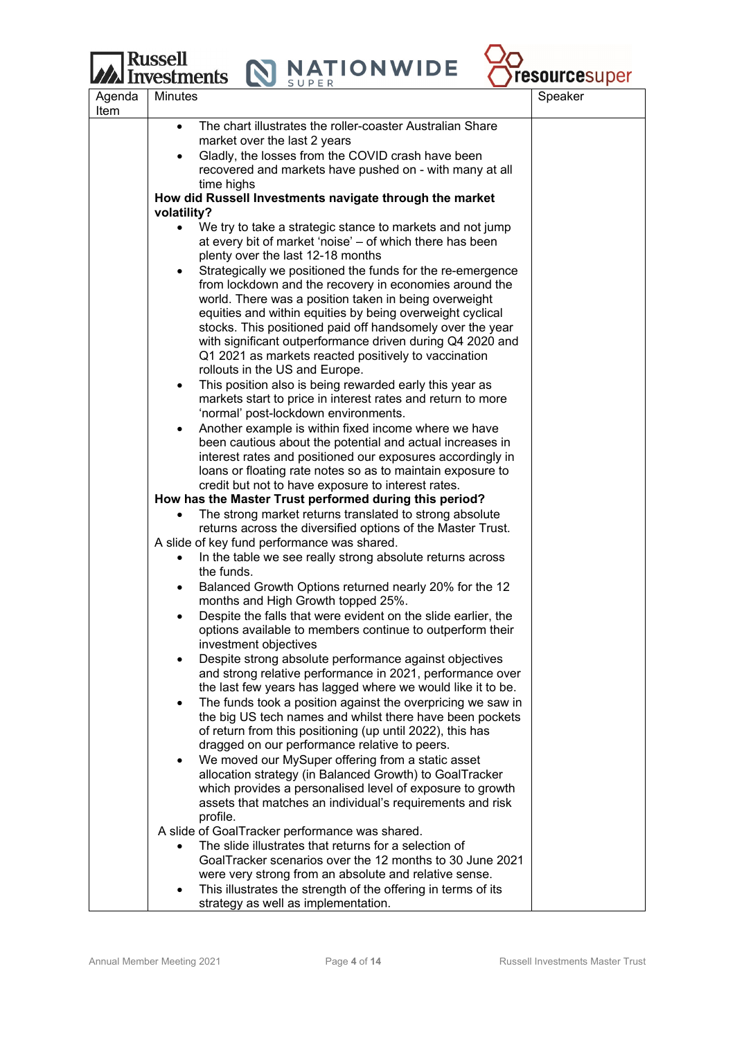## **Russell**

ents N NATIONWIDE



|                | <b>LZZA IIIVESLIIIEIIIS</b><br>SUPER                                                                                   | I GSUUI UGSU PUI |
|----------------|------------------------------------------------------------------------------------------------------------------------|------------------|
| Agenda<br>Item | <b>Minutes</b>                                                                                                         | Speaker          |
|                | The chart illustrates the roller-coaster Australian Share<br>$\bullet$                                                 |                  |
|                | market over the last 2 years                                                                                           |                  |
|                | Gladly, the losses from the COVID crash have been                                                                      |                  |
|                | recovered and markets have pushed on - with many at all                                                                |                  |
|                | time highs                                                                                                             |                  |
|                | How did Russell Investments navigate through the market                                                                |                  |
|                | volatility?                                                                                                            |                  |
|                | We try to take a strategic stance to markets and not jump<br>$\bullet$                                                 |                  |
|                | at every bit of market 'noise' – of which there has been                                                               |                  |
|                | plenty over the last 12-18 months                                                                                      |                  |
|                | Strategically we positioned the funds for the re-emergence<br>٠                                                        |                  |
|                | from lockdown and the recovery in economies around the                                                                 |                  |
|                | world. There was a position taken in being overweight                                                                  |                  |
|                | equities and within equities by being overweight cyclical<br>stocks. This positioned paid off handsomely over the year |                  |
|                | with significant outperformance driven during Q4 2020 and                                                              |                  |
|                | Q1 2021 as markets reacted positively to vaccination                                                                   |                  |
|                | rollouts in the US and Europe.                                                                                         |                  |
|                | This position also is being rewarded early this year as<br>$\bullet$                                                   |                  |
|                | markets start to price in interest rates and return to more                                                            |                  |
|                | 'normal' post-lockdown environments.                                                                                   |                  |
|                | Another example is within fixed income where we have<br>$\bullet$                                                      |                  |
|                | been cautious about the potential and actual increases in                                                              |                  |
|                | interest rates and positioned our exposures accordingly in                                                             |                  |
|                | loans or floating rate notes so as to maintain exposure to                                                             |                  |
|                | credit but not to have exposure to interest rates.                                                                     |                  |
|                | How has the Master Trust performed during this period?                                                                 |                  |
|                | The strong market returns translated to strong absolute                                                                |                  |
|                | returns across the diversified options of the Master Trust.                                                            |                  |
|                | A slide of key fund performance was shared.                                                                            |                  |
|                | In the table we see really strong absolute returns across<br>the funds.                                                |                  |
|                | Balanced Growth Options returned nearly 20% for the 12                                                                 |                  |
|                | months and High Growth topped 25%.                                                                                     |                  |
|                | Despite the falls that were evident on the slide earlier, the                                                          |                  |
|                | options available to members continue to outperform their                                                              |                  |
|                | investment objectives                                                                                                  |                  |
|                | Despite strong absolute performance against objectives<br>$\bullet$                                                    |                  |
|                | and strong relative performance in 2021, performance over                                                              |                  |
|                | the last few years has lagged where we would like it to be.                                                            |                  |
|                | The funds took a position against the overpricing we saw in<br>$\bullet$                                               |                  |
|                | the big US tech names and whilst there have been pockets                                                               |                  |
|                | of return from this positioning (up until 2022), this has<br>dragged on our performance relative to peers.             |                  |
|                | We moved our MySuper offering from a static asset<br>$\bullet$                                                         |                  |
|                | allocation strategy (in Balanced Growth) to GoalTracker                                                                |                  |
|                | which provides a personalised level of exposure to growth                                                              |                  |
|                | assets that matches an individual's requirements and risk                                                              |                  |
|                | profile.                                                                                                               |                  |
|                | A slide of GoalTracker performance was shared.                                                                         |                  |
|                | The slide illustrates that returns for a selection of                                                                  |                  |
|                | GoalTracker scenarios over the 12 months to 30 June 2021                                                               |                  |
|                | were very strong from an absolute and relative sense.                                                                  |                  |
|                | This illustrates the strength of the offering in terms of its                                                          |                  |
|                | strategy as well as implementation.                                                                                    |                  |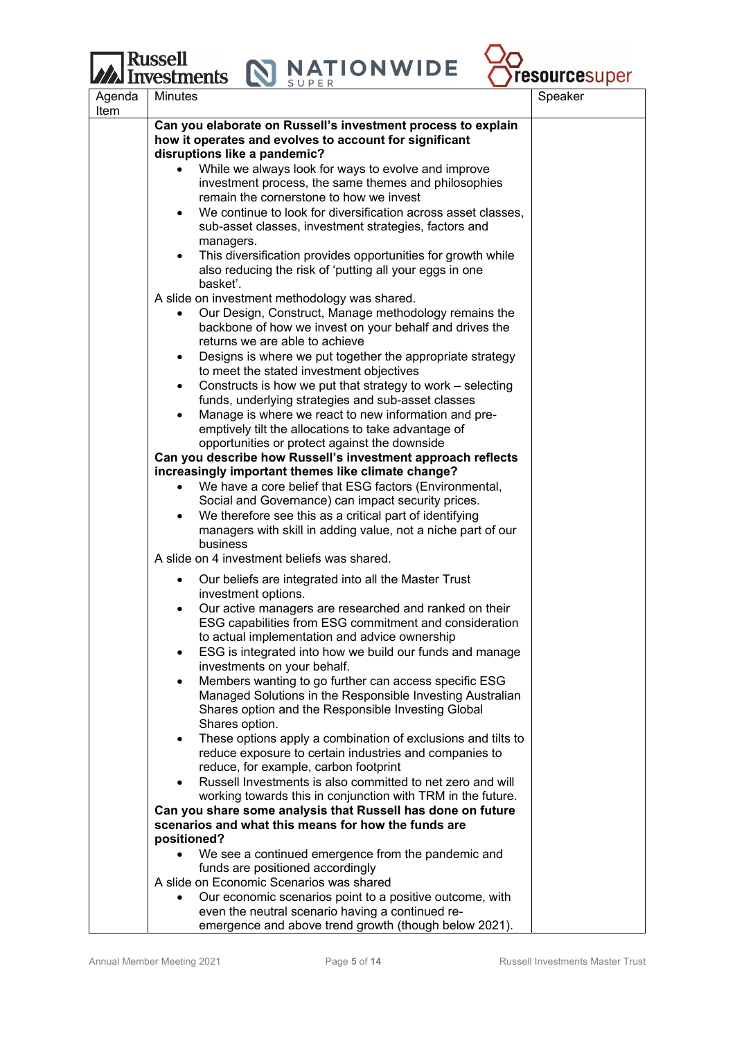## **Russell** vestments

**NATIONWIDE** 



Agenda Item Minutes and the set of the set of the set of the set of the set of the set of the set of the set of the set of **Can you elaborate on Russell's investment process to explain how it operates and evolves to account for significant disruptions like a pandemic?**  While we always look for ways to evolve and improve investment process, the same themes and philosophies remain the cornerstone to how we invest We continue to look for diversification across asset classes, sub-asset classes, investment strategies, factors and managers. This diversification provides opportunities for growth while also reducing the risk of 'putting all your eggs in one basket'. A slide on investment methodology was shared. Our Design, Construct, Manage methodology remains the backbone of how we invest on your behalf and drives the returns we are able to achieve Designs is where we put together the appropriate strategy to meet the stated investment objectives Constructs is how we put that strategy to work – selecting funds, underlying strategies and sub-asset classes Manage is where we react to new information and preemptively tilt the allocations to take advantage of opportunities or protect against the downside **Can you describe how Russell's investment approach reflects increasingly important themes like climate change?**  We have a core belief that ESG factors (Environmental, Social and Governance) can impact security prices. We therefore see this as a critical part of identifying managers with skill in adding value, not a niche part of our business A slide on 4 investment beliefs was shared. Our beliefs are integrated into all the Master Trust investment options. Our active managers are researched and ranked on their ESG capabilities from ESG commitment and consideration to actual implementation and advice ownership ESG is integrated into how we build our funds and manage investments on your behalf. Members wanting to go further can access specific ESG Managed Solutions in the Responsible Investing Australian Shares option and the Responsible Investing Global Shares option. These options apply a combination of exclusions and tilts to reduce exposure to certain industries and companies to reduce, for example, carbon footprint Russell Investments is also committed to net zero and will working towards this in conjunction with TRM in the future. **Can you share some analysis that Russell has done on future scenarios and what this means for how the funds are positioned?**  We see a continued emergence from the pandemic and funds are positioned accordingly A slide on Economic Scenarios was shared Our economic scenarios point to a positive outcome, with even the neutral scenario having a continued re-

emergence and above trend growth (though below 2021).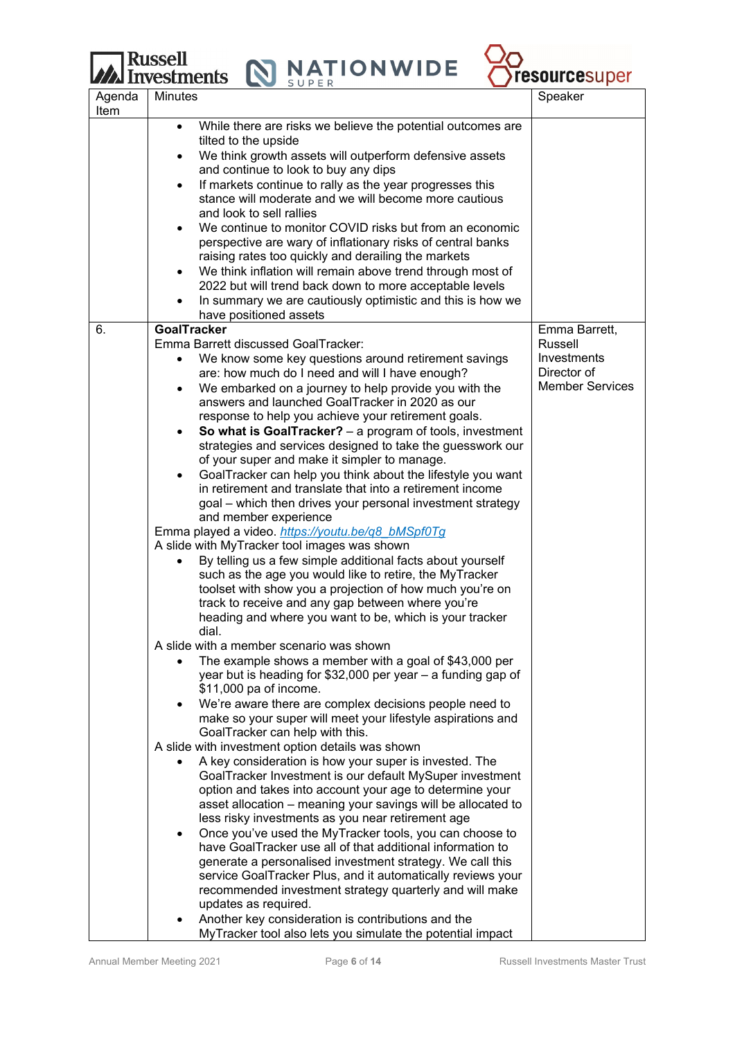

|                | <b>THE LITTLE CONTINUES.</b><br>$\sim$<br>SUPER                                                                                     |                            |
|----------------|-------------------------------------------------------------------------------------------------------------------------------------|----------------------------|
| Agenda<br>Item | <b>Minutes</b>                                                                                                                      | Speaker                    |
|                | While there are risks we believe the potential outcomes are<br>$\bullet$<br>tilted to the upside                                    |                            |
|                | We think growth assets will outperform defensive assets<br>$\bullet$                                                                |                            |
|                | and continue to look to buy any dips                                                                                                |                            |
|                | If markets continue to rally as the year progresses this<br>$\bullet$<br>stance will moderate and we will become more cautious      |                            |
|                | and look to sell rallies                                                                                                            |                            |
|                | We continue to monitor COVID risks but from an economic                                                                             |                            |
|                | perspective are wary of inflationary risks of central banks<br>raising rates too quickly and derailing the markets                  |                            |
|                | We think inflation will remain above trend through most of<br>$\bullet$                                                             |                            |
|                | 2022 but will trend back down to more acceptable levels<br>In summary we are cautiously optimistic and this is how we               |                            |
|                | have positioned assets                                                                                                              |                            |
| 6.             | <b>GoalTracker</b>                                                                                                                  | Emma Barrett,              |
|                | Emma Barrett discussed GoalTracker:                                                                                                 | <b>Russell</b>             |
|                | We know some key questions around retirement savings<br>$\bullet$<br>are: how much do I need and will I have enough?                | Investments<br>Director of |
|                | We embarked on a journey to help provide you with the<br>$\bullet$                                                                  | <b>Member Services</b>     |
|                | answers and launched GoalTracker in 2020 as our                                                                                     |                            |
|                | response to help you achieve your retirement goals.                                                                                 |                            |
|                | So what is GoalTracker? - a program of tools, investment<br>$\bullet$<br>strategies and services designed to take the guesswork our |                            |
|                | of your super and make it simpler to manage.                                                                                        |                            |
|                | GoalTracker can help you think about the lifestyle you want<br>$\bullet$                                                            |                            |
|                | in retirement and translate that into a retirement income                                                                           |                            |
|                | goal - which then drives your personal investment strategy                                                                          |                            |
|                | and member experience<br>Emma played a video. https://youtu.be/q8_bMSpf0Tg                                                          |                            |
|                | A slide with MyTracker tool images was shown                                                                                        |                            |
|                | By telling us a few simple additional facts about yourself                                                                          |                            |
|                | such as the age you would like to retire, the MyTracker                                                                             |                            |
|                | toolset with show you a projection of how much you're on                                                                            |                            |
|                | track to receive and any gap between where you're<br>heading and where you want to be, which is your tracker                        |                            |
|                | dial                                                                                                                                |                            |
|                | A slide with a member scenario was shown                                                                                            |                            |
|                | The example shows a member with a goal of \$43,000 per                                                                              |                            |
|                | year but is heading for \$32,000 per year - a funding gap of<br>\$11,000 pa of income.                                              |                            |
|                | We're aware there are complex decisions people need to<br>$\bullet$                                                                 |                            |
|                | make so your super will meet your lifestyle aspirations and<br>GoalTracker can help with this.                                      |                            |
|                | A slide with investment option details was shown                                                                                    |                            |
|                | A key consideration is how your super is invested. The                                                                              |                            |
|                | GoalTracker Investment is our default MySuper investment                                                                            |                            |
|                | option and takes into account your age to determine your                                                                            |                            |
|                | asset allocation - meaning your savings will be allocated to<br>less risky investments as you near retirement age                   |                            |
|                | Once you've used the MyTracker tools, you can choose to<br>$\bullet$                                                                |                            |
|                | have GoalTracker use all of that additional information to                                                                          |                            |
|                | generate a personalised investment strategy. We call this                                                                           |                            |
|                | service GoalTracker Plus, and it automatically reviews your                                                                         |                            |
|                | recommended investment strategy quarterly and will make<br>updates as required.                                                     |                            |
|                | Another key consideration is contributions and the                                                                                  |                            |
|                | MyTracker tool also lets you simulate the potential impact                                                                          |                            |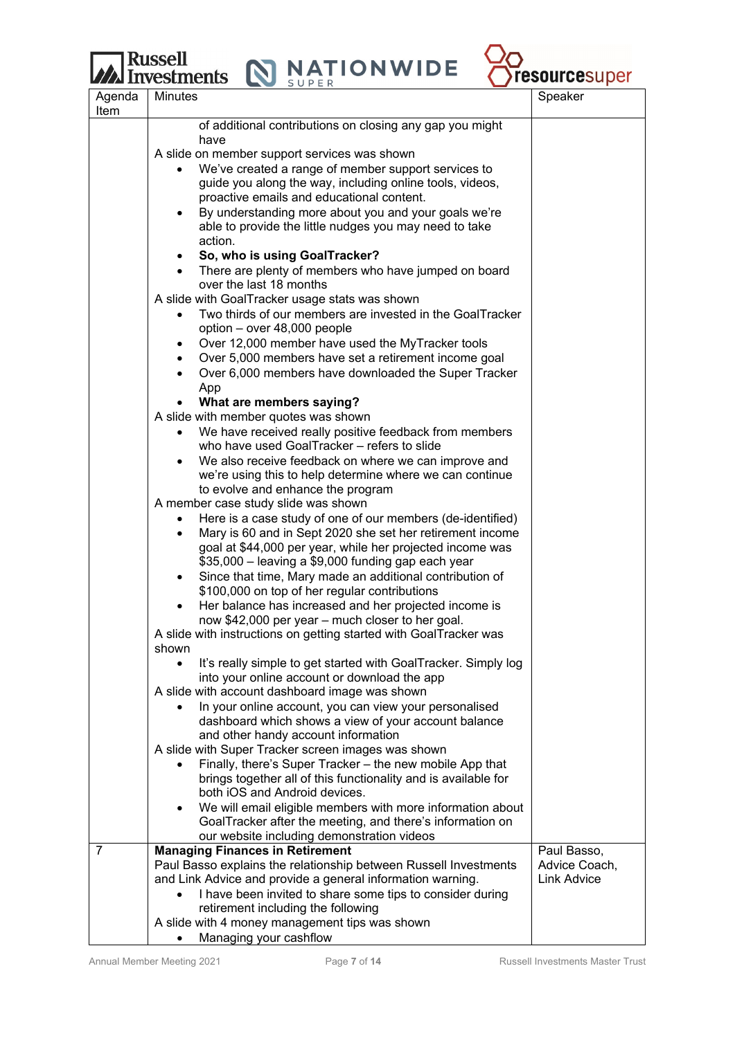$\begin{array}{|c|c|c|c|}\n\hline \text{Russell} & \text{N} & \text{NATION WIDE} \\
\hline \end{array}$ 



|                | <b>WAAN IILV COLLILCILLO</b><br>SUPER                                                                                   | $-$                                 |
|----------------|-------------------------------------------------------------------------------------------------------------------------|-------------------------------------|
| Agenda<br>Item | <b>Minutes</b>                                                                                                          | Speaker                             |
|                | of additional contributions on closing any gap you might                                                                |                                     |
|                | have                                                                                                                    |                                     |
|                | A slide on member support services was shown                                                                            |                                     |
|                | We've created a range of member support services to                                                                     |                                     |
|                | guide you along the way, including online tools, videos,                                                                |                                     |
|                | proactive emails and educational content.                                                                               |                                     |
|                | By understanding more about you and your goals we're                                                                    |                                     |
|                | able to provide the little nudges you may need to take                                                                  |                                     |
|                | action.                                                                                                                 |                                     |
|                | So, who is using GoalTracker?                                                                                           |                                     |
|                | • There are plenty of members who have jumped on board                                                                  |                                     |
|                | over the last 18 months                                                                                                 |                                     |
|                | A slide with GoalTracker usage stats was shown                                                                          |                                     |
|                | Two thirds of our members are invested in the GoalTracker                                                               |                                     |
|                | option - over 48,000 people                                                                                             |                                     |
|                | Over 12,000 member have used the MyTracker tools<br>$\bullet$                                                           |                                     |
|                | Over 5,000 members have set a retirement income goal<br>$\bullet$                                                       |                                     |
|                | Over 6,000 members have downloaded the Super Tracker<br>$\bullet$                                                       |                                     |
|                | App                                                                                                                     |                                     |
|                | What are members saying?                                                                                                |                                     |
|                | A slide with member quotes was shown                                                                                    |                                     |
|                | We have received really positive feedback from members<br>$\bullet$                                                     |                                     |
|                | who have used GoalTracker – refers to slide                                                                             |                                     |
|                | We also receive feedback on where we can improve and                                                                    |                                     |
|                | we're using this to help determine where we can continue                                                                |                                     |
|                | to evolve and enhance the program                                                                                       |                                     |
|                | A member case study slide was shown                                                                                     |                                     |
|                | Here is a case study of one of our members (de-identified)<br>$\bullet$                                                 |                                     |
|                | Mary is 60 and in Sept 2020 she set her retirement income<br>$\bullet$                                                  |                                     |
|                | goal at \$44,000 per year, while her projected income was                                                               |                                     |
|                | \$35,000 - leaving a \$9,000 funding gap each year                                                                      |                                     |
|                | Since that time, Mary made an additional contribution of                                                                |                                     |
|                | \$100,000 on top of her regular contributions<br>Her balance has increased and her projected income is                  |                                     |
|                | now \$42,000 per year - much closer to her goal.                                                                        |                                     |
|                | A slide with instructions on getting started with GoalTracker was                                                       |                                     |
|                | shown                                                                                                                   |                                     |
|                | It's really simple to get started with GoalTracker. Simply log<br>$\bullet$                                             |                                     |
|                | into your online account or download the app                                                                            |                                     |
|                | A slide with account dashboard image was shown                                                                          |                                     |
|                | In your online account, you can view your personalised<br>$\bullet$                                                     |                                     |
|                | dashboard which shows a view of your account balance                                                                    |                                     |
|                | and other handy account information                                                                                     |                                     |
|                | A slide with Super Tracker screen images was shown                                                                      |                                     |
|                | Finally, there's Super Tracker - the new mobile App that                                                                |                                     |
|                | brings together all of this functionality and is available for                                                          |                                     |
|                | both iOS and Android devices.                                                                                           |                                     |
|                | We will email eligible members with more information about<br>$\bullet$                                                 |                                     |
|                | GoalTracker after the meeting, and there's information on                                                               |                                     |
|                | our website including demonstration videos                                                                              |                                     |
| 7              | <b>Managing Finances in Retirement</b>                                                                                  | Paul Basso,                         |
|                | Paul Basso explains the relationship between Russell Investments                                                        | Advice Coach,<br><b>Link Advice</b> |
|                | and Link Advice and provide a general information warning.<br>I have been invited to share some tips to consider during |                                     |
|                | retirement including the following                                                                                      |                                     |
|                | A slide with 4 money management tips was shown                                                                          |                                     |
|                | Managing your cashflow                                                                                                  |                                     |
|                |                                                                                                                         |                                     |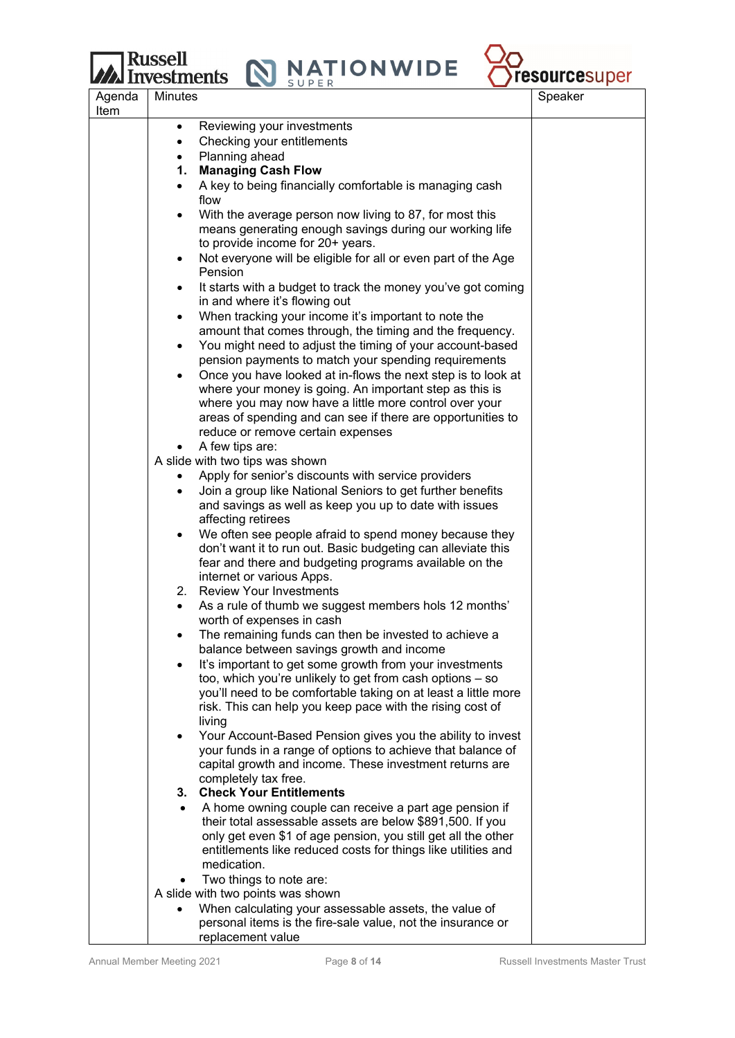## **Russell**<br>**M** Investments

 $\mathbf N$ 



| Agenda<br>Item | <b>Minutes</b>                                                                                                                      | Speaker |
|----------------|-------------------------------------------------------------------------------------------------------------------------------------|---------|
|                | Reviewing your investments<br>$\bullet$                                                                                             |         |
|                | Checking your entitlements<br>$\bullet$                                                                                             |         |
|                | Planning ahead<br>$\bullet$                                                                                                         |         |
|                | 1. Managing Cash Flow                                                                                                               |         |
|                | A key to being financially comfortable is managing cash<br>$\bullet$                                                                |         |
|                | flow                                                                                                                                |         |
|                | With the average person now living to 87, for most this<br>$\bullet$                                                                |         |
|                | means generating enough savings during our working life                                                                             |         |
|                | to provide income for 20+ years.                                                                                                    |         |
|                | Not everyone will be eligible for all or even part of the Age<br>$\bullet$                                                          |         |
|                | Pension                                                                                                                             |         |
|                | It starts with a budget to track the money you've got coming<br>$\bullet$                                                           |         |
|                | in and where it's flowing out                                                                                                       |         |
|                | When tracking your income it's important to note the<br>$\bullet$<br>amount that comes through, the timing and the frequency.       |         |
|                | You might need to adjust the timing of your account-based<br>$\bullet$                                                              |         |
|                | pension payments to match your spending requirements                                                                                |         |
|                | Once you have looked at in-flows the next step is to look at<br>$\bullet$                                                           |         |
|                | where your money is going. An important step as this is                                                                             |         |
|                | where you may now have a little more control over your                                                                              |         |
|                | areas of spending and can see if there are opportunities to                                                                         |         |
|                | reduce or remove certain expenses                                                                                                   |         |
|                | A few tips are:<br>$\bullet$                                                                                                        |         |
|                | A slide with two tips was shown                                                                                                     |         |
|                | Apply for senior's discounts with service providers<br>$\bullet$                                                                    |         |
|                | Join a group like National Seniors to get further benefits<br>$\bullet$                                                             |         |
|                | and savings as well as keep you up to date with issues                                                                              |         |
|                | affecting retirees                                                                                                                  |         |
|                | We often see people afraid to spend money because they<br>$\bullet$<br>don't want it to run out. Basic budgeting can alleviate this |         |
|                | fear and there and budgeting programs available on the                                                                              |         |
|                | internet or various Apps.                                                                                                           |         |
|                | 2. Review Your Investments                                                                                                          |         |
|                | As a rule of thumb we suggest members hols 12 months'<br>$\bullet$                                                                  |         |
|                | worth of expenses in cash                                                                                                           |         |
|                | The remaining funds can then be invested to achieve a<br>$\bullet$                                                                  |         |
|                | balance between savings growth and income                                                                                           |         |
|                | It's important to get some growth from your investments<br>$\bullet$                                                                |         |
|                | too, which you're unlikely to get from cash options - so                                                                            |         |
|                | you'll need to be comfortable taking on at least a little more                                                                      |         |
|                | risk. This can help you keep pace with the rising cost of<br>living                                                                 |         |
|                | Your Account-Based Pension gives you the ability to invest<br>$\bullet$                                                             |         |
|                | your funds in a range of options to achieve that balance of                                                                         |         |
|                | capital growth and income. These investment returns are                                                                             |         |
|                | completely tax free.                                                                                                                |         |
|                | 3. Check Your Entitlements                                                                                                          |         |
|                | A home owning couple can receive a part age pension if                                                                              |         |
|                | their total assessable assets are below \$891,500. If you                                                                           |         |
|                | only get even \$1 of age pension, you still get all the other                                                                       |         |
|                | entitlements like reduced costs for things like utilities and                                                                       |         |
|                | medication.                                                                                                                         |         |
|                | Two things to note are:<br>٠<br>A slide with two points was shown                                                                   |         |
|                | When calculating your assessable assets, the value of<br>$\bullet$                                                                  |         |
|                | personal items is the fire-sale value, not the insurance or                                                                         |         |
|                | replacement value                                                                                                                   |         |
|                |                                                                                                                                     |         |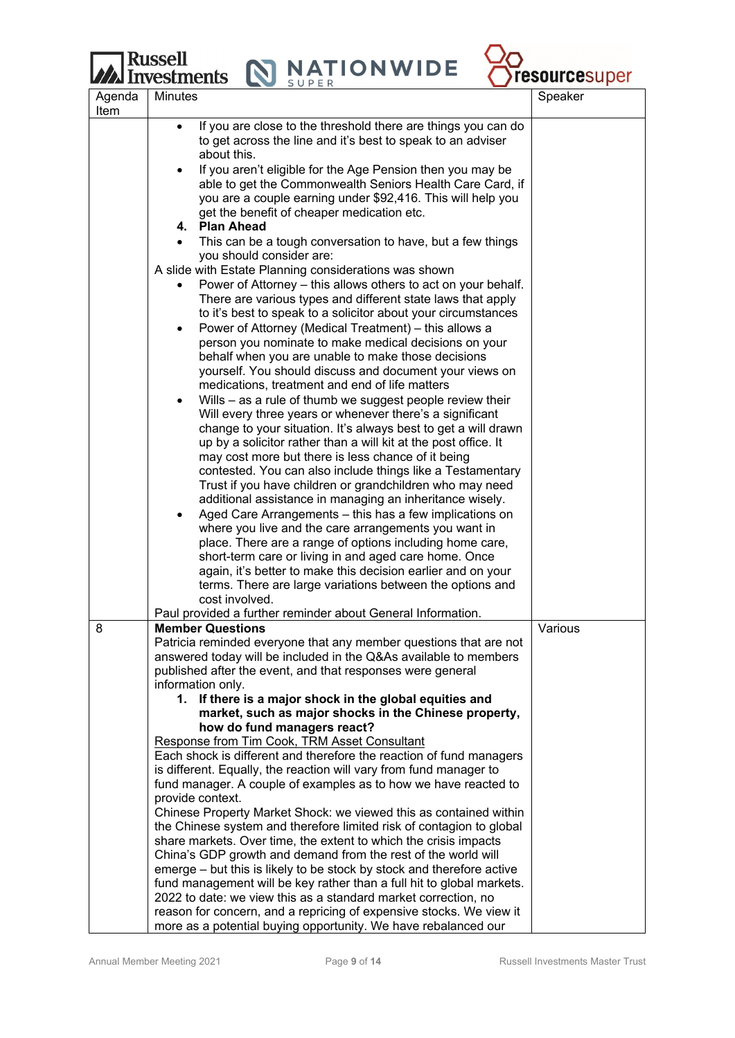

| Agenda | Minutes                                                                                                                                 | Speaker |
|--------|-----------------------------------------------------------------------------------------------------------------------------------------|---------|
| Item   | If you are close to the threshold there are things you can do                                                                           |         |
|        | to get across the line and it's best to speak to an adviser                                                                             |         |
|        | about this.                                                                                                                             |         |
|        | If you aren't eligible for the Age Pension then you may be                                                                              |         |
|        | able to get the Commonwealth Seniors Health Care Card, if<br>you are a couple earning under \$92,416. This will help you                |         |
|        | get the benefit of cheaper medication etc.                                                                                              |         |
|        | 4. Plan Ahead                                                                                                                           |         |
|        | This can be a tough conversation to have, but a few things<br>you should consider are:                                                  |         |
|        | A slide with Estate Planning considerations was shown                                                                                   |         |
|        | Power of Attorney – this allows others to act on your behalf.                                                                           |         |
|        | There are various types and different state laws that apply                                                                             |         |
|        | to it's best to speak to a solicitor about your circumstances                                                                           |         |
|        | Power of Attorney (Medical Treatment) - this allows a<br>٠                                                                              |         |
|        | person you nominate to make medical decisions on your<br>behalf when you are unable to make those decisions                             |         |
|        | yourself. You should discuss and document your views on                                                                                 |         |
|        | medications, treatment and end of life matters                                                                                          |         |
|        | Wills – as a rule of thumb we suggest people review their<br>٠                                                                          |         |
|        | Will every three years or whenever there's a significant                                                                                |         |
|        | change to your situation. It's always best to get a will drawn<br>up by a solicitor rather than a will kit at the post office. It       |         |
|        | may cost more but there is less chance of it being                                                                                      |         |
|        | contested. You can also include things like a Testamentary                                                                              |         |
|        | Trust if you have children or grandchildren who may need                                                                                |         |
|        | additional assistance in managing an inheritance wisely.                                                                                |         |
|        | Aged Care Arrangements - this has a few implications on                                                                                 |         |
|        | where you live and the care arrangements you want in<br>place. There are a range of options including home care,                        |         |
|        | short-term care or living in and aged care home. Once                                                                                   |         |
|        | again, it's better to make this decision earlier and on your                                                                            |         |
|        | terms. There are large variations between the options and                                                                               |         |
|        | cost involved.                                                                                                                          |         |
| 8      | Paul provided a further reminder about General Information.<br><b>Member Questions</b>                                                  | Various |
|        | Patricia reminded everyone that any member questions that are not                                                                       |         |
|        | answered today will be included in the Q&As available to members                                                                        |         |
|        | published after the event, and that responses were general                                                                              |         |
|        | information only.                                                                                                                       |         |
|        | 1. If there is a major shock in the global equities and<br>market, such as major shocks in the Chinese property,                        |         |
|        | how do fund managers react?                                                                                                             |         |
|        | Response from Tim Cook, TRM Asset Consultant                                                                                            |         |
|        | Each shock is different and therefore the reaction of fund managers                                                                     |         |
|        | is different. Equally, the reaction will vary from fund manager to                                                                      |         |
|        | fund manager. A couple of examples as to how we have reacted to                                                                         |         |
|        | provide context.<br>Chinese Property Market Shock: we viewed this as contained within                                                   |         |
|        | the Chinese system and therefore limited risk of contagion to global                                                                    |         |
|        | share markets. Over time, the extent to which the crisis impacts                                                                        |         |
|        | China's GDP growth and demand from the rest of the world will                                                                           |         |
|        | emerge – but this is likely to be stock by stock and therefore active                                                                   |         |
|        | fund management will be key rather than a full hit to global markets.<br>2022 to date: we view this as a standard market correction, no |         |
|        | reason for concern, and a repricing of expensive stocks. We view it                                                                     |         |
|        | more as a potential buying opportunity. We have rebalanced our                                                                          |         |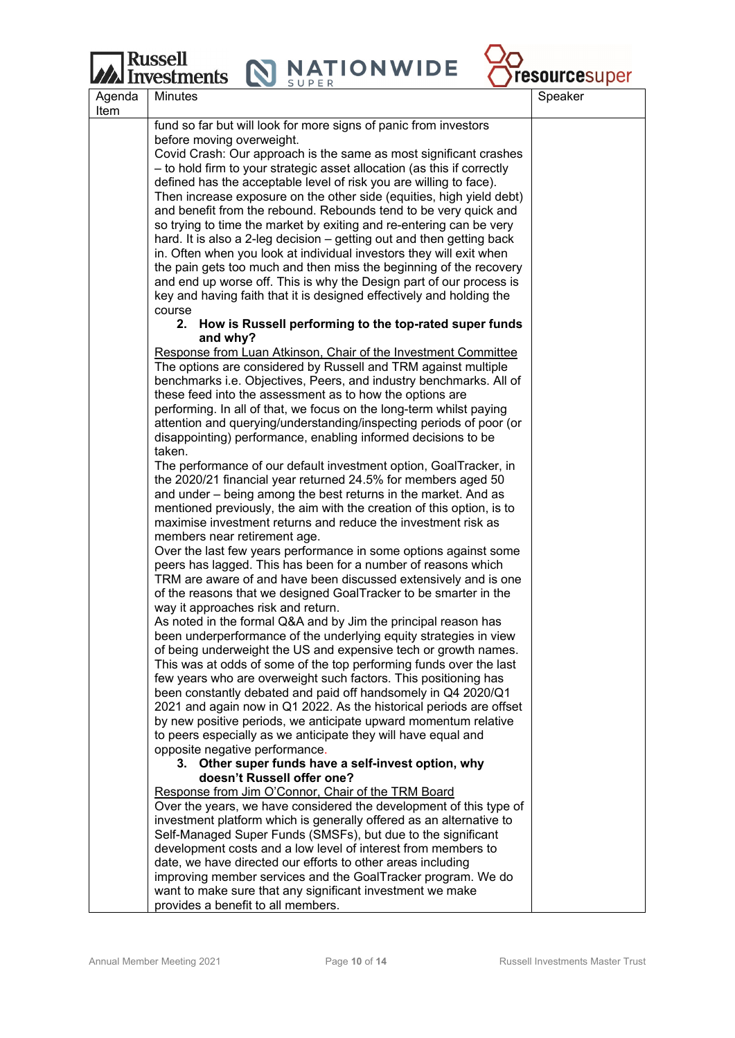## Russell

**MINATIONWIDE** 



|        | <b>LZZZ INVESURIENTS</b><br>SUPER                                                                                                           | <b>I COULL LESUPER</b> |
|--------|---------------------------------------------------------------------------------------------------------------------------------------------|------------------------|
| Agenda | <b>Minutes</b>                                                                                                                              | Speaker                |
| Item   |                                                                                                                                             |                        |
|        | fund so far but will look for more signs of panic from investors                                                                            |                        |
|        | before moving overweight.                                                                                                                   |                        |
|        | Covid Crash: Our approach is the same as most significant crashes                                                                           |                        |
|        | - to hold firm to your strategic asset allocation (as this if correctly                                                                     |                        |
|        | defined has the acceptable level of risk you are willing to face).                                                                          |                        |
|        | Then increase exposure on the other side (equities, high yield debt)                                                                        |                        |
|        | and benefit from the rebound. Rebounds tend to be very quick and                                                                            |                        |
|        | so trying to time the market by exiting and re-entering can be very                                                                         |                        |
|        | hard. It is also a 2-leg decision – getting out and then getting back                                                                       |                        |
|        | in. Often when you look at individual investors they will exit when                                                                         |                        |
|        | the pain gets too much and then miss the beginning of the recovery                                                                          |                        |
|        | and end up worse off. This is why the Design part of our process is<br>key and having faith that it is designed effectively and holding the |                        |
|        | course                                                                                                                                      |                        |
|        | 2. How is Russell performing to the top-rated super funds                                                                                   |                        |
|        | and why?                                                                                                                                    |                        |
|        | Response from Luan Atkinson, Chair of the Investment Committee                                                                              |                        |
|        | The options are considered by Russell and TRM against multiple                                                                              |                        |
|        | benchmarks i.e. Objectives, Peers, and industry benchmarks. All of                                                                          |                        |
|        | these feed into the assessment as to how the options are                                                                                    |                        |
|        | performing. In all of that, we focus on the long-term whilst paying                                                                         |                        |
|        | attention and querying/understanding/inspecting periods of poor (or                                                                         |                        |
|        | disappointing) performance, enabling informed decisions to be                                                                               |                        |
|        | taken.                                                                                                                                      |                        |
|        | The performance of our default investment option, GoalTracker, in                                                                           |                        |
|        | the 2020/21 financial year returned 24.5% for members aged 50                                                                               |                        |
|        | and under – being among the best returns in the market. And as                                                                              |                        |
|        | mentioned previously, the aim with the creation of this option, is to                                                                       |                        |
|        | maximise investment returns and reduce the investment risk as                                                                               |                        |
|        | members near retirement age.                                                                                                                |                        |
|        | Over the last few years performance in some options against some                                                                            |                        |
|        | peers has lagged. This has been for a number of reasons which                                                                               |                        |
|        | TRM are aware of and have been discussed extensively and is one                                                                             |                        |
|        | of the reasons that we designed GoalTracker to be smarter in the                                                                            |                        |
|        | way it approaches risk and return.                                                                                                          |                        |
|        | As noted in the formal Q&A and by Jim the principal reason has<br>been underperformance of the underlying equity strategies in view         |                        |
|        | of being underweight the US and expensive tech or growth names.                                                                             |                        |
|        | This was at odds of some of the top performing funds over the last                                                                          |                        |
|        | few years who are overweight such factors. This positioning has                                                                             |                        |
|        | been constantly debated and paid off handsomely in Q4 2020/Q1                                                                               |                        |
|        | 2021 and again now in Q1 2022. As the historical periods are offset                                                                         |                        |
|        | by new positive periods, we anticipate upward momentum relative                                                                             |                        |
|        | to peers especially as we anticipate they will have equal and                                                                               |                        |
|        | opposite negative performance.                                                                                                              |                        |
|        | 3. Other super funds have a self-invest option, why                                                                                         |                        |
|        | doesn't Russell offer one?                                                                                                                  |                        |
|        | Response from Jim O'Connor, Chair of the TRM Board                                                                                          |                        |
|        | Over the years, we have considered the development of this type of                                                                          |                        |
|        | investment platform which is generally offered as an alternative to                                                                         |                        |
|        | Self-Managed Super Funds (SMSFs), but due to the significant                                                                                |                        |
|        | development costs and a low level of interest from members to                                                                               |                        |
|        | date, we have directed our efforts to other areas including                                                                                 |                        |
|        | improving member services and the GoalTracker program. We do<br>want to make sure that any significant investment we make                   |                        |
|        | provides a benefit to all members.                                                                                                          |                        |
|        |                                                                                                                                             |                        |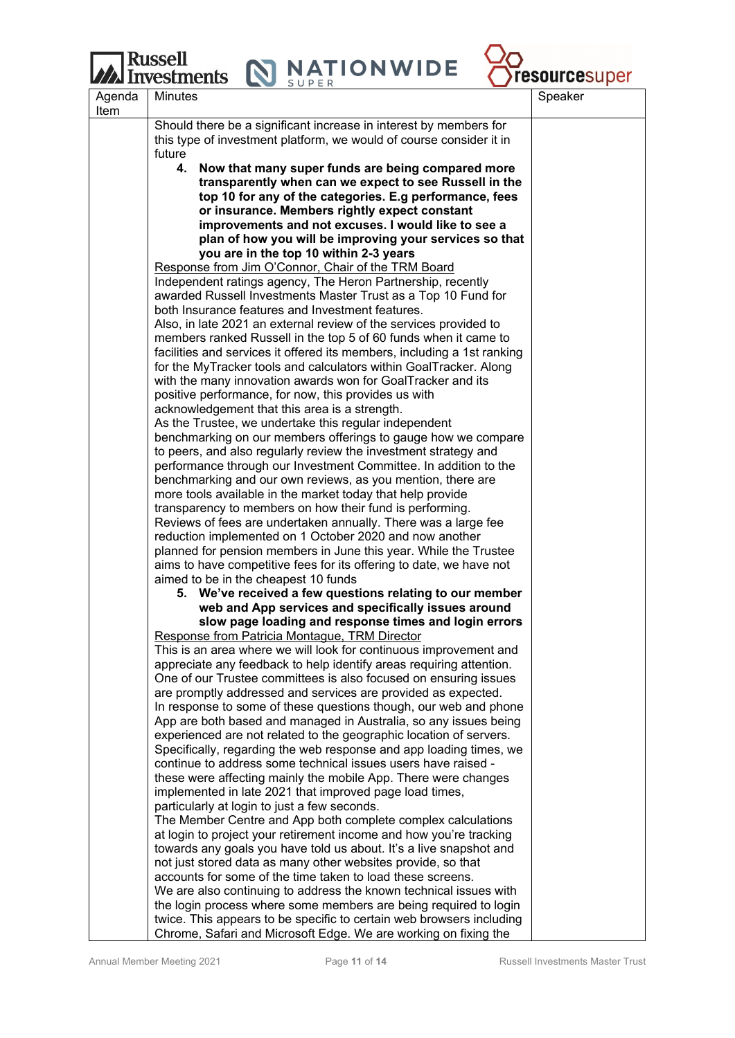

|                | <b>JUFLIN</b>                                                                                                                    |         |
|----------------|----------------------------------------------------------------------------------------------------------------------------------|---------|
| Agenda<br>Item | <b>Minutes</b>                                                                                                                   | Speaker |
|                | Should there be a significant increase in interest by members for                                                                |         |
|                | this type of investment platform, we would of course consider it in                                                              |         |
|                | future                                                                                                                           |         |
|                | 4.<br>Now that many super funds are being compared more                                                                          |         |
|                | transparently when can we expect to see Russell in the                                                                           |         |
|                | top 10 for any of the categories. E.g performance, fees                                                                          |         |
|                | or insurance. Members rightly expect constant                                                                                    |         |
|                | improvements and not excuses. I would like to see a                                                                              |         |
|                | plan of how you will be improving your services so that                                                                          |         |
|                | you are in the top 10 within 2-3 years                                                                                           |         |
|                | Response from Jim O'Connor, Chair of the TRM Board                                                                               |         |
|                | Independent ratings agency, The Heron Partnership, recently                                                                      |         |
|                | awarded Russell Investments Master Trust as a Top 10 Fund for                                                                    |         |
|                | both Insurance features and Investment features.                                                                                 |         |
|                | Also, in late 2021 an external review of the services provided to                                                                |         |
|                | members ranked Russell in the top 5 of 60 funds when it came to                                                                  |         |
|                | facilities and services it offered its members, including a 1st ranking                                                          |         |
|                | for the MyTracker tools and calculators within GoalTracker. Along<br>with the many innovation awards won for GoalTracker and its |         |
|                | positive performance, for now, this provides us with                                                                             |         |
|                | acknowledgement that this area is a strength.                                                                                    |         |
|                | As the Trustee, we undertake this regular independent                                                                            |         |
|                | benchmarking on our members offerings to gauge how we compare                                                                    |         |
|                | to peers, and also regularly review the investment strategy and                                                                  |         |
|                | performance through our Investment Committee. In addition to the                                                                 |         |
|                | benchmarking and our own reviews, as you mention, there are                                                                      |         |
|                | more tools available in the market today that help provide                                                                       |         |
|                | transparency to members on how their fund is performing.                                                                         |         |
|                | Reviews of fees are undertaken annually. There was a large fee                                                                   |         |
|                | reduction implemented on 1 October 2020 and now another                                                                          |         |
|                | planned for pension members in June this year. While the Trustee                                                                 |         |
|                | aims to have competitive fees for its offering to date, we have not                                                              |         |
|                | aimed to be in the cheapest 10 funds<br>5. We've received a few questions relating to our member                                 |         |
|                | web and App services and specifically issues around                                                                              |         |
|                | slow page loading and response times and login errors                                                                            |         |
|                | Response from Patricia Montague, TRM Director                                                                                    |         |
|                | This is an area where we will look for continuous improvement and                                                                |         |
|                | appreciate any feedback to help identify areas requiring attention.                                                              |         |
|                | One of our Trustee committees is also focused on ensuring issues                                                                 |         |
|                | are promptly addressed and services are provided as expected.                                                                    |         |
|                | In response to some of these questions though, our web and phone                                                                 |         |
|                | App are both based and managed in Australia, so any issues being                                                                 |         |
|                | experienced are not related to the geographic location of servers.                                                               |         |
|                | Specifically, regarding the web response and app loading times, we                                                               |         |
|                | continue to address some technical issues users have raised -                                                                    |         |
|                | these were affecting mainly the mobile App. There were changes                                                                   |         |
|                | implemented in late 2021 that improved page load times,                                                                          |         |
|                | particularly at login to just a few seconds.<br>The Member Centre and App both complete complex calculations                     |         |
|                | at login to project your retirement income and how you're tracking                                                               |         |
|                | towards any goals you have told us about. It's a live snapshot and                                                               |         |
|                | not just stored data as many other websites provide, so that                                                                     |         |
|                | accounts for some of the time taken to load these screens.                                                                       |         |
|                | We are also continuing to address the known technical issues with                                                                |         |
|                | the login process where some members are being required to login                                                                 |         |
|                | twice. This appears to be specific to certain web browsers including                                                             |         |
|                | Chrome, Safari and Microsoft Edge. We are working on fixing the                                                                  |         |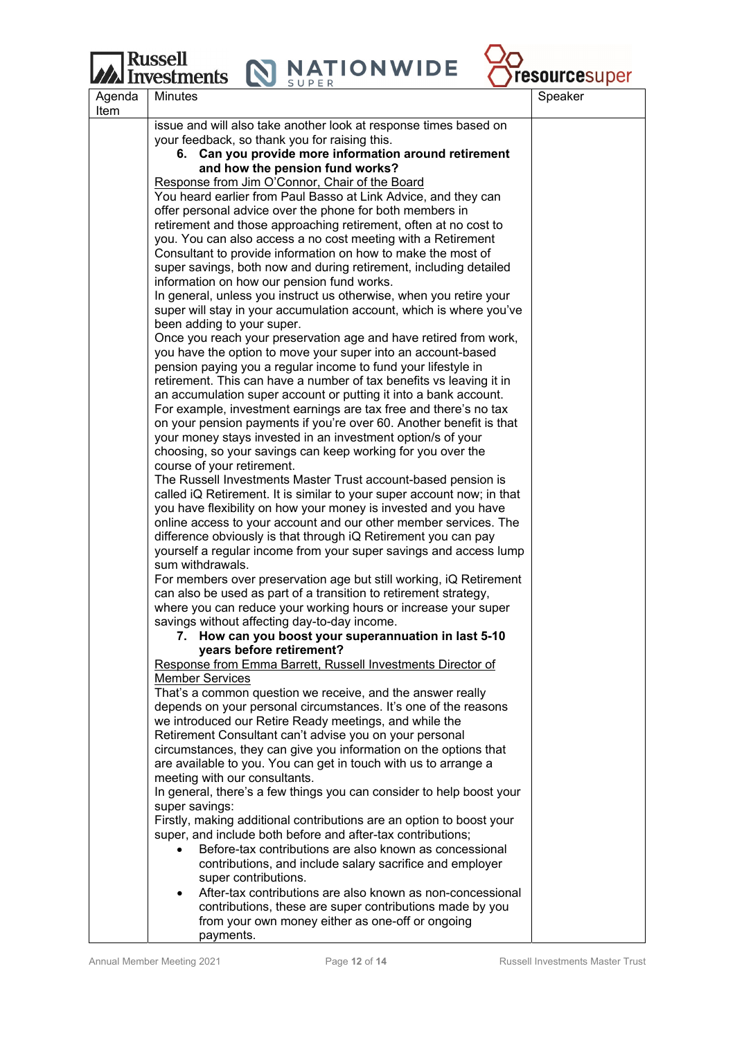## **Russell** vestments

**NATIONWIDE** 



Agenda Item Minutes and the set of the set of the set of the set of the set of the set of the set of the set of the set of issue and will also take another look at response times based on your feedback, so thank you for raising this. **6. Can you provide more information around retirement and how the pension fund works?**  Response from Jim O'Connor, Chair of the Board You heard earlier from Paul Basso at Link Advice, and they can offer personal advice over the phone for both members in retirement and those approaching retirement, often at no cost to you. You can also access a no cost meeting with a Retirement Consultant to provide information on how to make the most of super savings, both now and during retirement, including detailed information on how our pension fund works. In general, unless you instruct us otherwise, when you retire your super will stay in your accumulation account, which is where you've been adding to your super. Once you reach your preservation age and have retired from work, you have the option to move your super into an account-based pension paying you a regular income to fund your lifestyle in retirement. This can have a number of tax benefits vs leaving it in an accumulation super account or putting it into a bank account. For example, investment earnings are tax free and there's no tax on your pension payments if you're over 60. Another benefit is that your money stays invested in an investment option/s of your choosing, so your savings can keep working for you over the course of your retirement. The Russell Investments Master Trust account-based pension is called iQ Retirement. It is similar to your super account now; in that you have flexibility on how your money is invested and you have online access to your account and our other member services. The difference obviously is that through iQ Retirement you can pay yourself a regular income from your super savings and access lump sum withdrawals. For members over preservation age but still working, iQ Retirement can also be used as part of a transition to retirement strategy, where you can reduce your working hours or increase your super savings without affecting day-to-day income. **7. How can you boost your superannuation in last 5-10 years before retirement?**  Response from Emma Barrett, Russell Investments Director of Member Services That's a common question we receive, and the answer really depends on your personal circumstances. It's one of the reasons we introduced our Retire Ready meetings, and while the Retirement Consultant can't advise you on your personal circumstances, they can give you information on the options that are available to you. You can get in touch with us to arrange a meeting with our consultants. In general, there's a few things you can consider to help boost your super savings: Firstly, making additional contributions are an option to boost your super, and include both before and after-tax contributions; Before-tax contributions are also known as concessional contributions, and include salary sacrifice and employer super contributions. After-tax contributions are also known as non-concessional contributions, these are super contributions made by you from your own money either as one-off or ongoing

payments.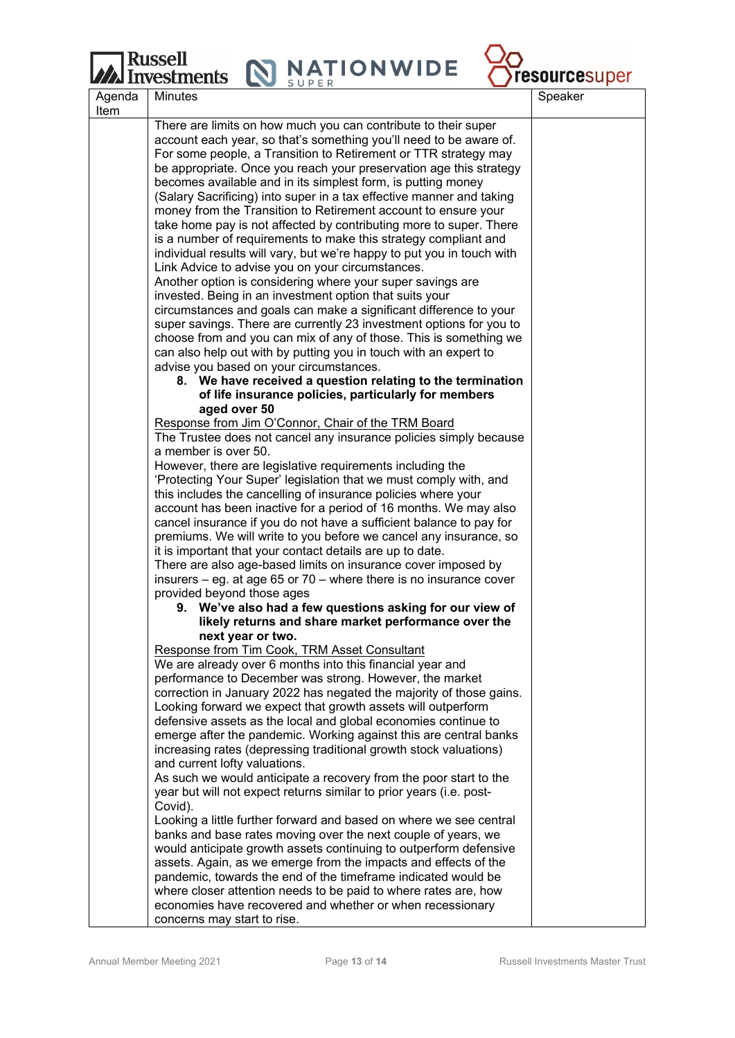Russell<br>Investments N NATIONWIDE



|                | <i>ита</i> ніусэнііснэ<br>SUPER                                                                                                           | <b>TOUGHOUSS</b> |
|----------------|-------------------------------------------------------------------------------------------------------------------------------------------|------------------|
| Agenda<br>Item | <b>Minutes</b>                                                                                                                            | Speaker          |
|                | There are limits on how much you can contribute to their super                                                                            |                  |
|                | account each year, so that's something you'll need to be aware of.                                                                        |                  |
|                | For some people, a Transition to Retirement or TTR strategy may<br>be appropriate. Once you reach your preservation age this strategy     |                  |
|                | becomes available and in its simplest form, is putting money                                                                              |                  |
|                | (Salary Sacrificing) into super in a tax effective manner and taking                                                                      |                  |
|                | money from the Transition to Retirement account to ensure your                                                                            |                  |
|                | take home pay is not affected by contributing more to super. There                                                                        |                  |
|                | is a number of requirements to make this strategy compliant and<br>individual results will vary, but we're happy to put you in touch with |                  |
|                | Link Advice to advise you on your circumstances.                                                                                          |                  |
|                | Another option is considering where your super savings are                                                                                |                  |
|                | invested. Being in an investment option that suits your                                                                                   |                  |
|                | circumstances and goals can make a significant difference to your                                                                         |                  |
|                | super savings. There are currently 23 investment options for you to                                                                       |                  |
|                | choose from and you can mix of any of those. This is something we<br>can also help out with by putting you in touch with an expert to     |                  |
|                | advise you based on your circumstances.                                                                                                   |                  |
|                | 8. We have received a question relating to the termination                                                                                |                  |
|                | of life insurance policies, particularly for members                                                                                      |                  |
|                | aged over 50                                                                                                                              |                  |
|                | Response from Jim O'Connor, Chair of the TRM Board                                                                                        |                  |
|                | The Trustee does not cancel any insurance policies simply because<br>a member is over 50.                                                 |                  |
|                | However, there are legislative requirements including the                                                                                 |                  |
|                | 'Protecting Your Super' legislation that we must comply with, and                                                                         |                  |
|                | this includes the cancelling of insurance policies where your                                                                             |                  |
|                | account has been inactive for a period of 16 months. We may also                                                                          |                  |
|                | cancel insurance if you do not have a sufficient balance to pay for                                                                       |                  |
|                | premiums. We will write to you before we cancel any insurance, so<br>it is important that your contact details are up to date.            |                  |
|                | There are also age-based limits on insurance cover imposed by                                                                             |                  |
|                | insurers $-$ eg. at age 65 or 70 $-$ where there is no insurance cover                                                                    |                  |
|                | provided beyond those ages                                                                                                                |                  |
|                | 9. We've also had a few questions asking for our view of                                                                                  |                  |
|                | likely returns and share market performance over the                                                                                      |                  |
|                | next year or two.<br>Response from Tim Cook, TRM Asset Consultant                                                                         |                  |
|                | We are already over 6 months into this financial year and                                                                                 |                  |
|                | performance to December was strong. However, the market                                                                                   |                  |
|                | correction in January 2022 has negated the majority of those gains.                                                                       |                  |
|                | Looking forward we expect that growth assets will outperform                                                                              |                  |
|                | defensive assets as the local and global economies continue to<br>emerge after the pandemic. Working against this are central banks       |                  |
|                | increasing rates (depressing traditional growth stock valuations)                                                                         |                  |
|                | and current lofty valuations.                                                                                                             |                  |
|                | As such we would anticipate a recovery from the poor start to the                                                                         |                  |
|                | year but will not expect returns similar to prior years (i.e. post-                                                                       |                  |
|                | Covid).                                                                                                                                   |                  |
|                | Looking a little further forward and based on where we see central<br>banks and base rates moving over the next couple of years, we       |                  |
|                | would anticipate growth assets continuing to outperform defensive                                                                         |                  |
|                | assets. Again, as we emerge from the impacts and effects of the                                                                           |                  |
|                | pandemic, towards the end of the timeframe indicated would be                                                                             |                  |
|                | where closer attention needs to be paid to where rates are, how                                                                           |                  |
|                | economies have recovered and whether or when recessionary                                                                                 |                  |
|                | concerns may start to rise.                                                                                                               |                  |